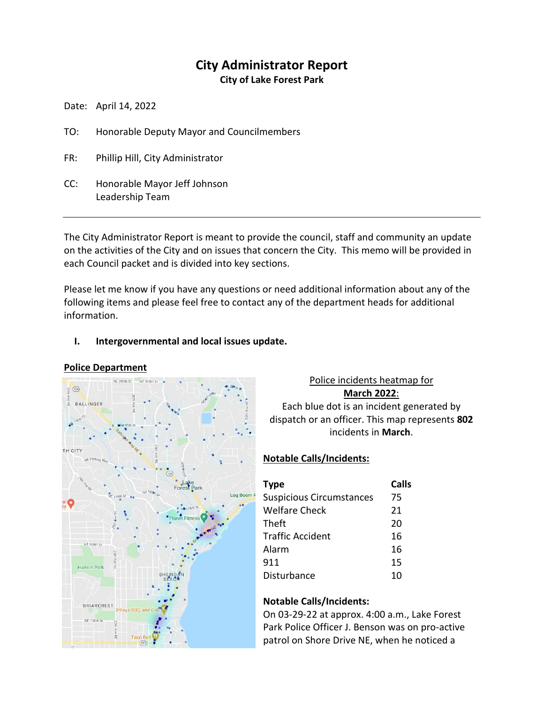# **City Administrator Report**

**City of Lake Forest Park**

Date: April 14, 2022

- TO: Honorable Deputy Mayor and Councilmembers
- FR: Phillip Hill, City Administrator
- CC: Honorable Mayor Jeff Johnson Leadership Team

The City Administrator Report is meant to provide the council, staff and community an update on the activities of the City and on issues that concern the City. This memo will be provided in each Council packet and is divided into key sections.

Please let me know if you have any questions or need additional information about any of the following items and please feel free to contact any of the department heads for additional information.

## **I. Intergovernmental and local issues update.**

#### **Police Department**



Police incidents heatmap for **March 2022**:

Each blue dot is an incident generated by dispatch or an officer. This map represents **802** incidents in **March**.

## **Notable Calls/Incidents:**

| <b>Type</b>                     | Calls |
|---------------------------------|-------|
| <b>Suspicious Circumstances</b> | 75    |
| <b>Welfare Check</b>            | 21    |
| Theft                           | 20    |
| <b>Traffic Accident</b>         | 16    |
| Alarm                           | 16    |
| 911                             | 15    |
| Disturbance                     | 10    |

#### **Notable Calls/Incidents:**

On 03-29-22 at approx. 4:00 a.m., Lake Forest Park Police Officer J. Benson was on pro-active patrol on Shore Drive NE, when he noticed a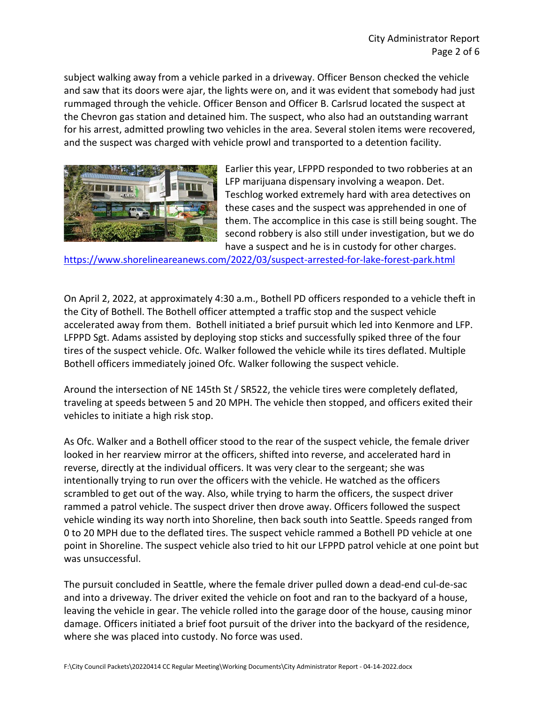subject walking away from a vehicle parked in a driveway. Officer Benson checked the vehicle and saw that its doors were ajar, the lights were on, and it was evident that somebody had just rummaged through the vehicle. Officer Benson and Officer B. Carlsrud located the suspect at the Chevron gas station and detained him. The suspect, who also had an outstanding warrant for his arrest, admitted prowling two vehicles in the area. Several stolen items were recovered, and the suspect was charged with vehicle prowl and transported to a detention facility.



Earlier this year, LFPPD responded to two robberies at an LFP marijuana dispensary involving a weapon. Det. Teschlog worked extremely hard with area detectives on these cases and the suspect was apprehended in one of them. The accomplice in this case is still being sought. The second robbery is also still under investigation, but we do have a suspect and he is in custody for other charges.

<https://www.shorelineareanews.com/2022/03/suspect-arrested-for-lake-forest-park.html>

On April 2, 2022, at approximately 4:30 a.m., Bothell PD officers responded to a vehicle theft in the City of Bothell. The Bothell officer attempted a traffic stop and the suspect vehicle accelerated away from them. Bothell initiated a brief pursuit which led into Kenmore and LFP. LFPPD Sgt. Adams assisted by deploying stop sticks and successfully spiked three of the four tires of the suspect vehicle. Ofc. Walker followed the vehicle while its tires deflated. Multiple Bothell officers immediately joined Ofc. Walker following the suspect vehicle.

Around the intersection of NE 145th St / SR522, the vehicle tires were completely deflated, traveling at speeds between 5 and 20 MPH. The vehicle then stopped, and officers exited their vehicles to initiate a high risk stop.

As Ofc. Walker and a Bothell officer stood to the rear of the suspect vehicle, the female driver looked in her rearview mirror at the officers, shifted into reverse, and accelerated hard in reverse, directly at the individual officers. It was very clear to the sergeant; she was intentionally trying to run over the officers with the vehicle. He watched as the officers scrambled to get out of the way. Also, while trying to harm the officers, the suspect driver rammed a patrol vehicle. The suspect driver then drove away. Officers followed the suspect vehicle winding its way north into Shoreline, then back south into Seattle. Speeds ranged from 0 to 20 MPH due to the deflated tires. The suspect vehicle rammed a Bothell PD vehicle at one point in Shoreline. The suspect vehicle also tried to hit our LFPPD patrol vehicle at one point but was unsuccessful.

The pursuit concluded in Seattle, where the female driver pulled down a dead-end cul-de-sac and into a driveway. The driver exited the vehicle on foot and ran to the backyard of a house, leaving the vehicle in gear. The vehicle rolled into the garage door of the house, causing minor damage. Officers initiated a brief foot pursuit of the driver into the backyard of the residence, where she was placed into custody. No force was used.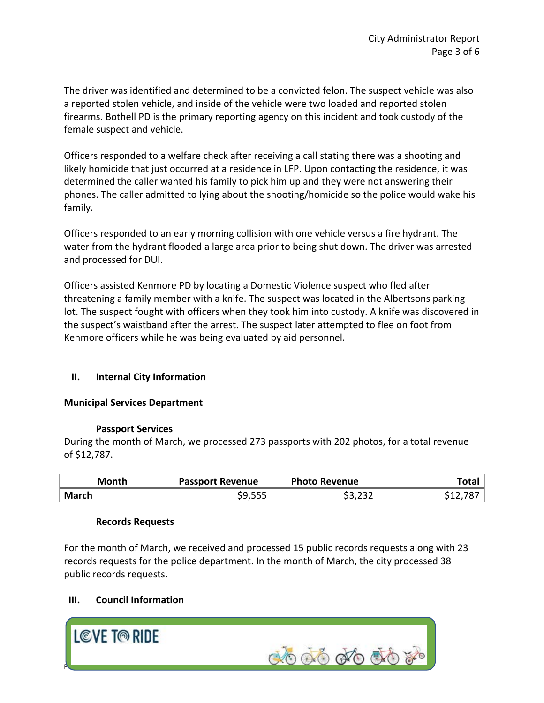The driver was identified and determined to be a convicted felon. The suspect vehicle was also a reported stolen vehicle, and inside of the vehicle were two loaded and reported stolen firearms. Bothell PD is the primary reporting agency on this incident and took custody of the female suspect and vehicle.

Officers responded to a welfare check after receiving a call stating there was a shooting and likely homicide that just occurred at a residence in LFP. Upon contacting the residence, it was determined the caller wanted his family to pick him up and they were not answering their phones. The caller admitted to lying about the shooting/homicide so the police would wake his family.

Officers responded to an early morning collision with one vehicle versus a fire hydrant. The water from the hydrant flooded a large area prior to being shut down. The driver was arrested and processed for DUI.

Officers assisted Kenmore PD by locating a Domestic Violence suspect who fled after threatening a family member with a knife. The suspect was located in the Albertsons parking lot. The suspect fought with officers when they took him into custody. A knife was discovered in the suspect's waistband after the arrest. The suspect later attempted to flee on foot from Kenmore officers while he was being evaluated by aid personnel.

## **II. Internal City Information**

#### **Municipal Services Department**

#### **Passport Services**

During the month of March, we processed 273 passports with 202 photos, for a total revenue of \$12,787.

| Month        | <b>Passport Revenue</b> | <b>Photo Revenue</b> | "otal |
|--------------|-------------------------|----------------------|-------|
| <b>March</b> |                         | ່າາາ<br>ا کے کہاں ب  |       |

#### **Records Requests**

For the month of March, we received and processed 15 public records requests along with 23 records requests for the police department. In the month of March, the city processed 38 public records requests.

## **III. Council Information**

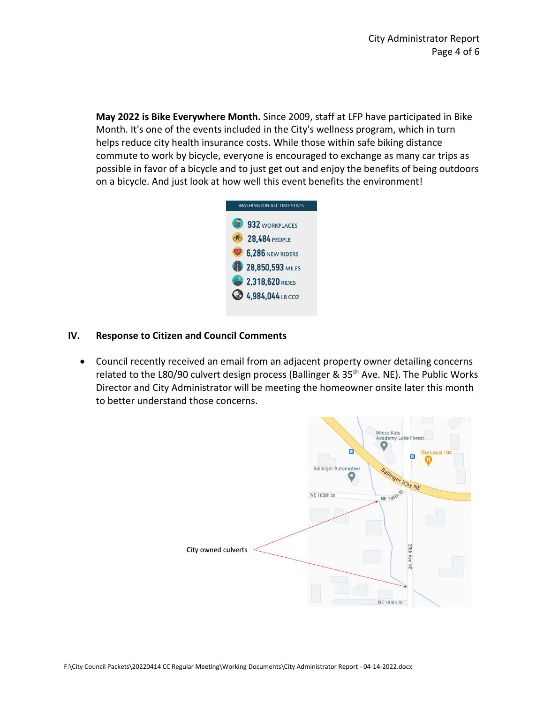**May 2022 is Bike Everywhere Month.** Since 2009, staff at LFP have participated in Bike Month. It's one of the events included in the City's wellness program, which in turn helps reduce city health insurance costs. While those within safe biking distance commute to work by bicycle, everyone is encouraged to exchange as many car trips as possible in favor of a bicycle and to just get out and enjoy the benefits of being outdoors on a bicycle. And just look at how well this event benefits the environment!



#### **IV. Response to Citizen and Council Comments**

• Council recently received an email from an adjacent property owner detailing concerns related to the L80/90 culvert design process (Ballinger & 35<sup>th</sup> Ave. NE). The Public Works Director and City Administrator will be meeting the homeowner onsite later this month to better understand those concerns.

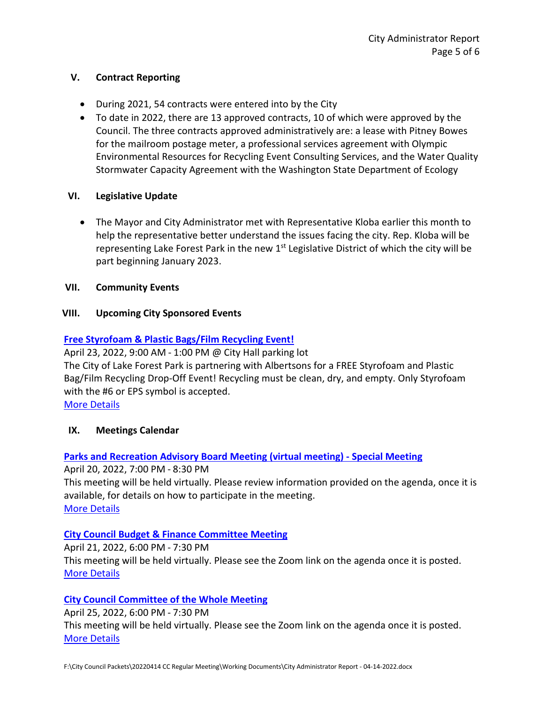#### **V. Contract Reporting**

- During 2021, 54 contracts were entered into by the City
- To date in 2022, there are 13 approved contracts, 10 of which were approved by the Council. The three contracts approved administratively are: a lease with Pitney Bowes for the mailroom postage meter, a professional services agreement with Olympic Environmental Resources for Recycling Event Consulting Services, and the Water Quality Stormwater Capacity Agreement with the Washington State Department of Ecology

## **VI. Legislative Update**

• The Mayor and City Administrator met with Representative Kloba earlier this month to help the representative better understand the issues facing the city. Rep. Kloba will be representing Lake Forest Park in the new 1<sup>st</sup> Legislative District of which the city will be part beginning January 2023.

#### **VII. Community Events**

## **VIII. Upcoming City Sponsored Events**

## **[Free Styrofoam & Plastic Bags/Film Recycling Event!](https://www.cityoflfp.com/Calendar.aspx?EID=2304&month=4&year=2022&day=8&calType=0)**

April 23, 2022, 9:00 AM - 1:00 PM @ City Hall parking lot The City of Lake Forest Park is partnering with Albertsons for a FREE Styrofoam and Plastic Bag/Film Recycling Drop-Off Event! Recycling must be clean, dry, and empty. Only Styrofoam with the #6 or EPS symbol is accepted.

**[More Details](https://www.cityoflfp.com/Calendar.aspx?EID=2304&month=4&year=2022&day=8&calType=0)** 

## **IX. Meetings Calendar**

## **[Parks and Recreation Advisory Board Meeting \(virtual meeting\) -](https://www.cityoflfp.com/Calendar.aspx?EID=2305&month=4&year=2022&day=8&calType=0) [Special Meeting](https://www.cityoflfp.com/Calendar.aspx?EID=2305&month=4&year=2022&day=8&calType=0)**

April 20, 2022, 7:00 PM - 8:30 PM This meeting will be held virtually. Please review information provided on the agenda, once it is available, for details on how to participate in the meeting. [More Details](https://www.cityoflfp.com/Calendar.aspx?EID=2305&month=4&year=2022&day=8&calType=0)

## **[City Council Budget & Finance Committee Meeting](https://www.cityoflfp.com/Calendar.aspx?EID=2217&month=4&year=2022&day=8&calType=0)**

April 21, 2022, 6:00 PM - 7:30 PM This meeting will be held virtually. Please see the Zoom link on the agenda once it is posted. [More Details](https://www.cityoflfp.com/Calendar.aspx?EID=2217&month=4&year=2022&day=8&calType=0)

## **[City Council Committee of the Whole Meeting](https://www.cityoflfp.com/Calendar.aspx?EID=2228&month=4&year=2022&day=8&calType=0)**

April 25, 2022, 6:00 PM - 7:30 PM This meeting will be held virtually. Please see the Zoom link on the agenda once it is posted. [More Details](https://www.cityoflfp.com/Calendar.aspx?EID=2228&month=4&year=2022&day=8&calType=0)